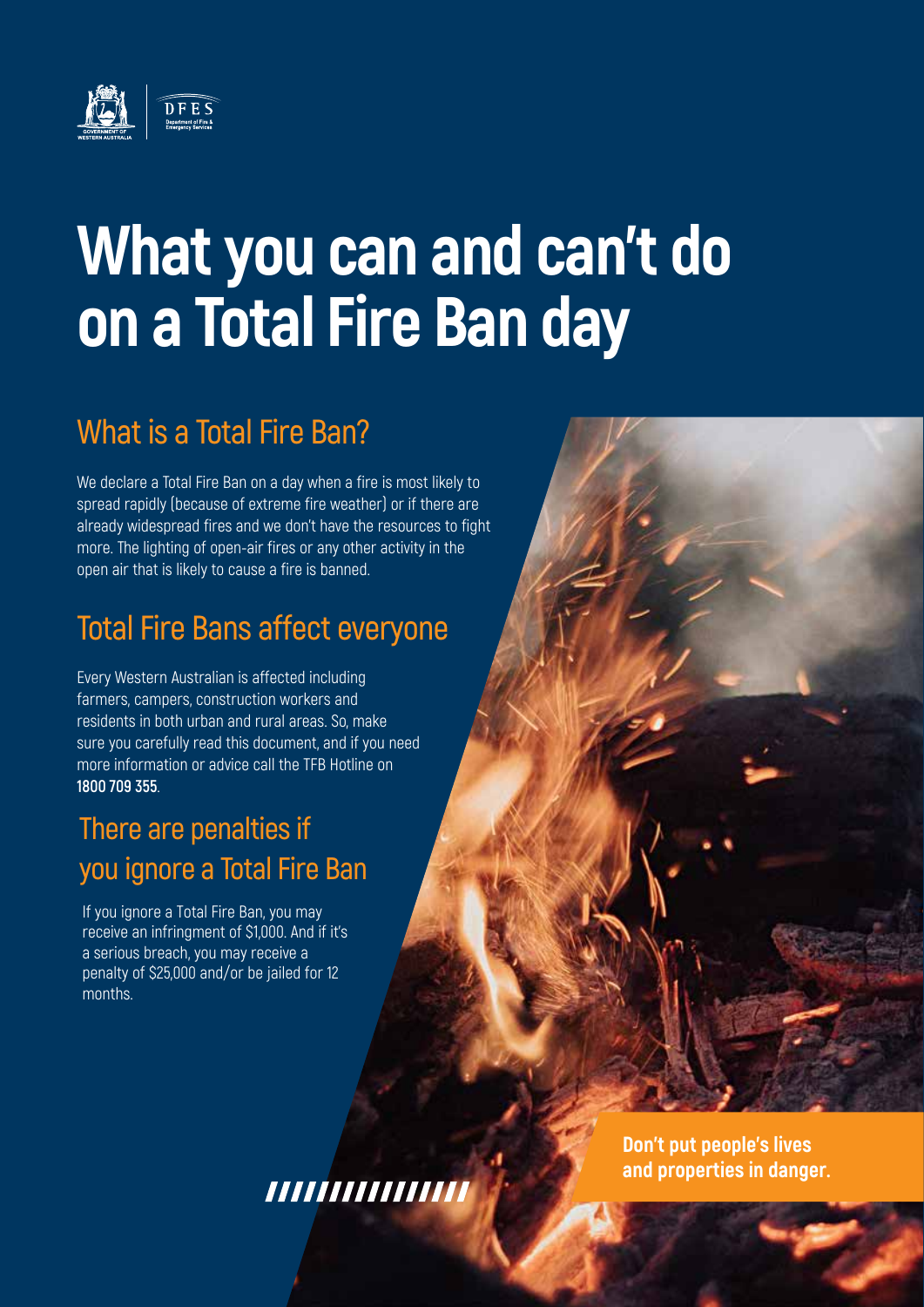

## **What you can and can't do on a Total Fire Ban day**

### **What is a Total Fire Ban?**

We declare a Total Fire Ban on a day when a fire is most likely to spread rapidly (because of extreme fire weather) or if there are already widespread fires and we don't have the resources to fight more. The lighting of open-air fires or any other activity in the open air that is likely to cause a fire is banned.

### **Total Fire Bans affect everyone**

Every Western Australian is affected including farmers, campers, construction workers and residents in both urban and rural areas. So, make sure you carefully read this document, and if you need more information or advice call the TFB Hotline on **1800 709 355**.

### **There are penalties if you ignore a Total Fire Ban**

If you ignore a Total Fire Ban, you may receive an infringment of \$1,000. And if it's a serious breach, you may receive a penalty of \$25,000 and/or be jailed for 12 months.

,,,,,,,,,,,,,,,,

**Don't put people's lives and properties in danger.**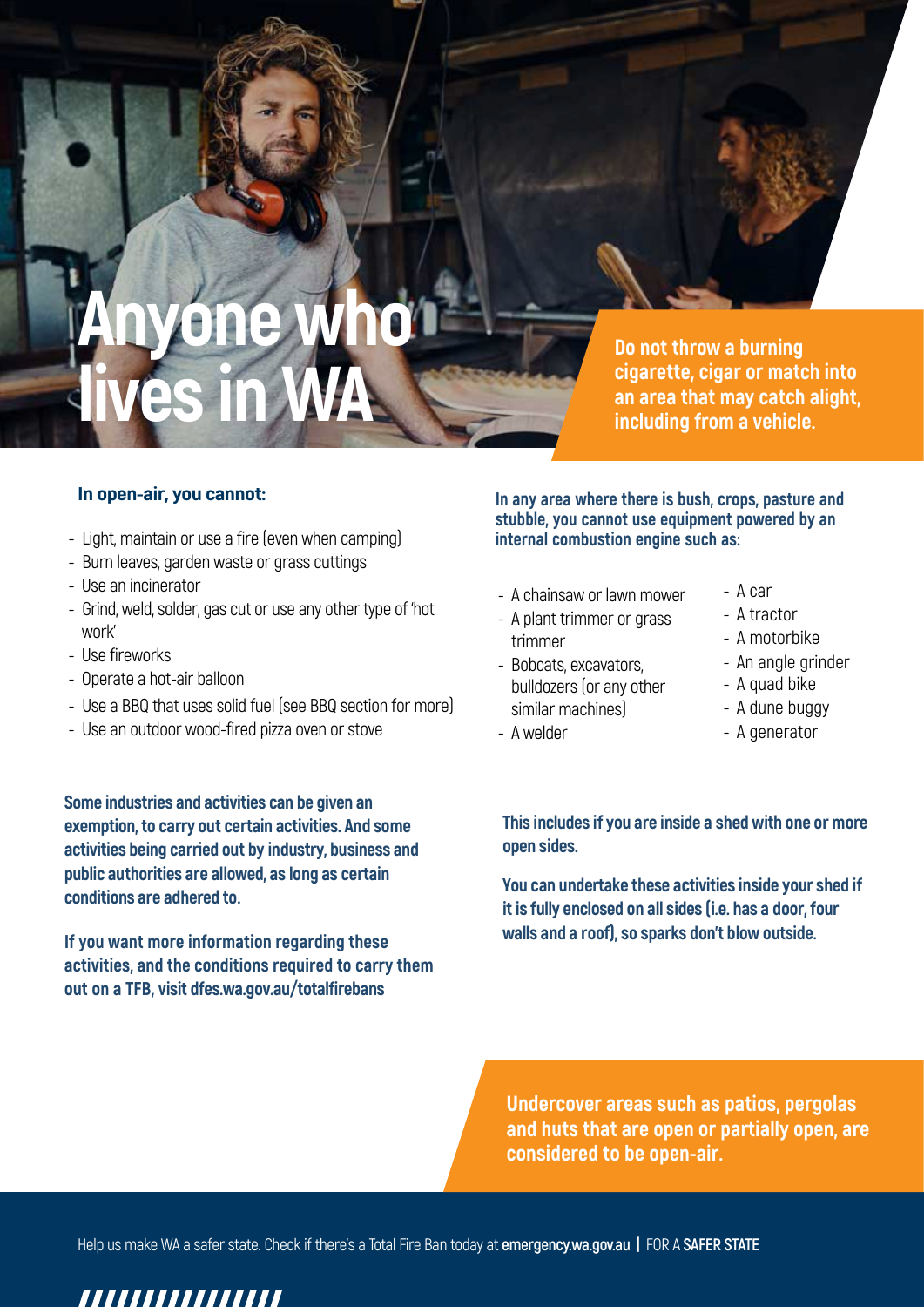## **Anyone who lives in WA**

**Do not throw a burning cigarette, cigar or match into an area that may catch alight, including from a vehicle.**

#### **In open-air, you cannot:**

- Light, maintain or use a fire (even when camping)
- Burn leaves, garden waste or grass cuttings
- Use an incinerator
- Grind, weld, solder, gas cut or use any other type of 'hot work'
- Use fireworks
- Operate a hot-air balloon
- Use a BBQ that uses solid fuel (see BBQ section for more)
- Use an outdoor wood-fired pizza oven or stove

**Some industries and activities can be given an exemption, to carry out certain activities. And some activities being carried out by industry, business and public authorities are allowed, as long as certain conditions are adhered to.**

**If you want more information regarding these activities, and the conditions required to carry them out on a TFB, visit dfes.wa.gov.au/totalfirebans**

**In any area where there is bush, crops, pasture and stubble, you cannot use equipment powered by an internal combustion engine such as:** 

- A chainsaw or lawn mower
- A plant trimmer or grass trimmer
- Bobcats, excavators, bulldozers (or any other similar machines)
- A welder
- A car
- A tractor
- A motorbike
- An angle grinder
- A quad bike
- A dune buggy
- A generator

**This includes if you are inside a shed with one or more open sides.**

**You can undertake these activities inside your shed if it is fully enclosed on all sides (i.e. has a door, four walls and a roof), so sparks don't blow outside.**

**Undercover areas such as patios, pergolas and huts that are open or partially open, are considered to be open-air.**

Help us make WA a safer state. Check if there's a Total Fire Ban today at **emergency.wa.gov.au |** FOR A **SAFER STATE**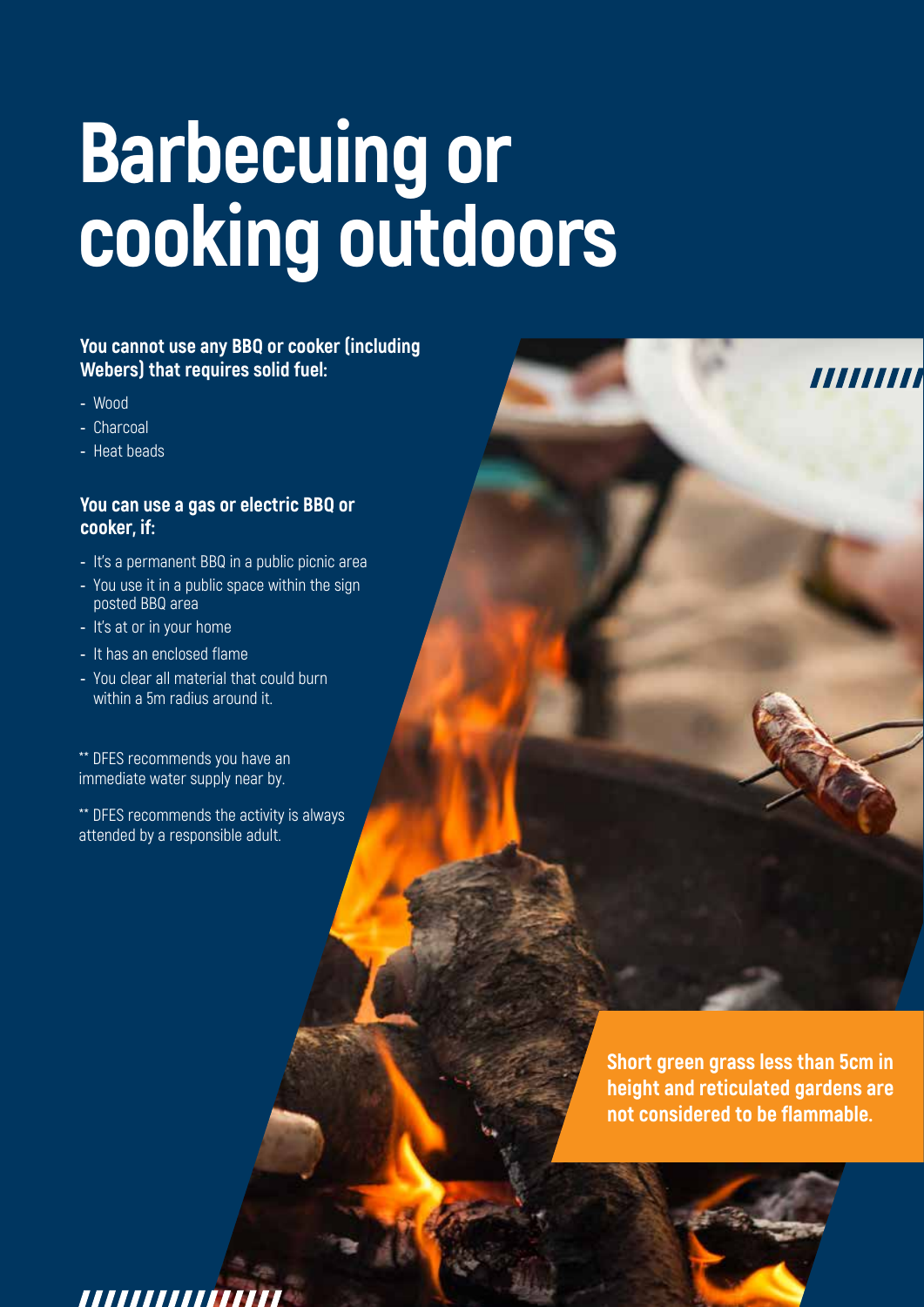# **Barbecuing or cooking outdoors**

### **You cannot use any BBQ or cooker (including Webers) that requires solid fuel:**

- **-** Wood
- **-** Charcoal
- **-** Heat beads

#### **You can use a gas or electric BBQ or cooker, if:**

- **-** It's a permanent BBQ in a public picnic area
- **-** You use it in a public space within the sign posted BBQ area
- **-** It's at or in your home
- **-** It has an enclosed flame
- **-** You clear all material that could burn within a 5m radius around it.

\*\* DFES recommends you have an immediate water supply near by.

\*\* DFES recommends the activity is always attended by a responsible adult.

> **Short green grass less than 5cm in height and reticulated gardens are not considered to be flammable.**

,,,,,,,,,